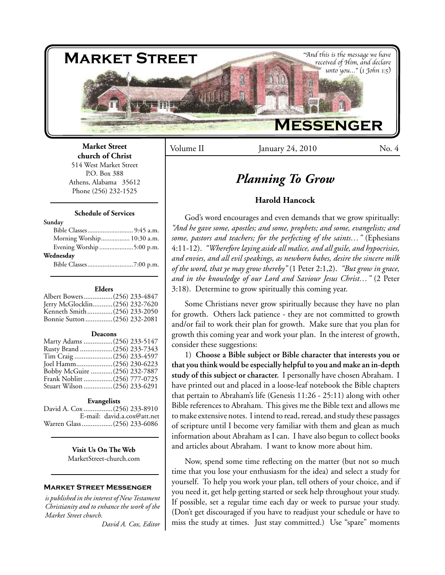

Volume II January 24, 2010 No. 4

## **Market Street church of Christ** 514 West Market Street

P.O. Box 388 Athens, Alabama 35612 Phone (256) 232-1525

#### **Schedule of Services**

#### **Sunday**

| Morning Worship 10:30 a.m. |  |
|----------------------------|--|
| Evening Worship 5:00 p.m.  |  |
| Wednesday                  |  |
|                            |  |

#### **Elders**

| Albert Bowers(256) 233-4847    |  |
|--------------------------------|--|
| Jerry McGlocklin(256) 232-7620 |  |
| Kenneth Smith(256) 233-2050    |  |
| Bonnie Sutton (256) 232-2081   |  |
|                                |  |

#### **Deacons**

| Marty Adams (256) 233-5147   |  |
|------------------------------|--|
| Rusty Brand (256) 233-7343   |  |
| Tim Craig (256) 233-4597     |  |
| Joel Hamm(256) 230-6223      |  |
| Bobby McGuire (256) 232-7887 |  |
| Frank Noblitt (256) 777-0725 |  |
| Stuart Wilson (256) 233-6291 |  |

#### **Evangelists**

David A. Cox ................(256) 233-8910 E-mail: david.a.cox@att.net Warren Glass.................(256) 233-6086

> **Visit Us On The Web** MarketStreet-church.com

## **Market Street Messenger**

*is published in the interest of New Testament Christianity and to enhance the work of the Market Street church. David A. Cox, Editor*

# *Planning To Grow*

# **Harold Hancock**

God's word encourages and even demands that we grow spiritually: *"And he gave some, apostles; and some, prophets; and some, evangelists; and some, pastors and teachers; for the perfecting of the saints…"* (Ephesians 4:11-12). *"Wherefore laying aside all malice, and all guile, and hypocrisies, and envies, and all evil speakings, as newborn babes, desire the sincere milk of the word, that ye may grow thereby"* (1 Peter 2:1,2). *"But grow in grace, and in the knowledge of our Lord and Saviour Jesus Christ…"* (2 Peter 3:18). Determine to grow spiritually this coming year.

Some Christians never grow spiritually because they have no plan for growth. Others lack patience - they are not committed to growth and/or fail to work their plan for growth. Make sure that you plan for growth this coming year and work your plan. In the interest of growth, consider these suggestions:

1) **Choose a Bible subject or Bible character that interests you or that you think would be especially helpful to you and make an in-depth study of this subject or character.** I personally have chosen Abraham. I have printed out and placed in a loose-leaf notebook the Bible chapters that pertain to Abraham's life (Genesis 11:26 - 25:11) along with other Bible references to Abraham. This gives me the Bible text and allows me to make extensive notes. I intend to read, reread, and study these passages of scripture until I become very familiar with them and glean as much information about Abraham as I can. I have also begun to collect books and articles about Abraham. I want to know more about him.

Now, spend some time reflecting on the matter (but not so much time that you lose your enthusiasm for the idea) and select a study for yourself. To help you work your plan, tell others of your choice, and if you need it, get help getting started or seek help throughout your study. If possible, set a regular time each day or week to pursue your study. (Don't get discouraged if you have to readjust your schedule or have to miss the study at times. Just stay committed.) Use "spare" moments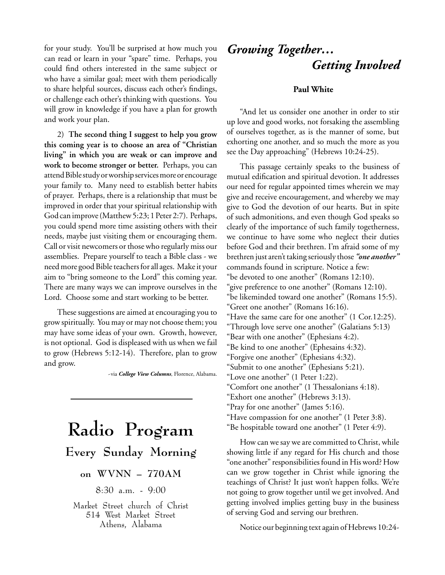for your study. You'll be surprised at how much you can read or learn in your "spare" time. Perhaps, you could find others interested in the same subject or who have a similar goal; meet with them periodically to share helpful sources, discuss each other's findings, or challenge each other's thinking with questions. You will grow in knowledge if you have a plan for growth and work your plan.

2) **The second thing I suggest to help you grow this coming year is to choose an area of "Christian living" in which you are weak or can improve and work to become stronger or better.** Perhaps, you can attend Bible study or worship services more or encourage your family to. Many need to establish better habits of prayer. Perhaps, there is a relationship that must be improved in order that your spiritual relationship with God can improve (Matthew 5:23; 1 Peter 2:7). Perhaps, you could spend more time assisting others with their needs, maybe just visiting them or encouraging them. Call or visit newcomers or those who regularly miss our assemblies. Prepare yourself to teach a Bible class - we need more good Bible teachers for all ages. Make it your aim to "bring someone to the Lord" this coming year. There are many ways we can improve ourselves in the Lord. Choose some and start working to be better.

These suggestions are aimed at encouraging you to grow spiritually. You may or may not choose them; you may have some ideas of your own. Growth, however, is not optional. God is displeased with us when we fail to grow (Hebrews 5:12-14). Therefore, plan to grow and grow.

~via *College View Columns*, Florence, Alabama.

# **Radio Program**

# **Every Sunday Morning**

# **on WVNN – 770AM**

# 8:30 a.m. - 9:00

Market Street church of Christ 514 West Market Street Athens, Alabama

# *Growing Together… Getting Involved*

# **Paul White**

"And let us consider one another in order to stir up love and good works, not forsaking the assembling of ourselves together, as is the manner of some, but exhorting one another, and so much the more as you see the Day approaching" (Hebrews 10:24-25).

This passage certainly speaks to the business of mutual edification and spiritual devotion. It addresses our need for regular appointed times wherein we may give and receive encouragement, and whereby we may give to God the devotion of our hearts. But in spite of such admonitions, and even though God speaks so clearly of the importance of such family togetherness, we continue to have some who neglect their duties before God and their brethren. I'm afraid some of my brethren just aren't taking seriously those *"one another"* commands found in scripture. Notice a few: "be devoted to one another" (Romans 12:10). "give preference to one another" (Romans 12:10). "be likeminded toward one another" (Romans 15:5). "Greet one another" (Romans 16:16). "Have the same care for one another" (1 Cor.12:25). "Through love serve one another" (Galatians 5:13) "Bear with one another" (Ephesians 4:2). "Be kind to one another" (Ephesains 4:32). "Forgive one another" (Ephesians 4:32). "Submit to one another" (Ephesians 5:21). "Love one another" (1 Peter 1:22). "Comfort one another" (1 Thessalonians 4:18). "Exhort one another" (Hebrews 3:13). "Pray for one another" (James 5:16). "Have compassion for one another" (1 Peter 3:8). "Be hospitable toward one another" (1 Peter 4:9).

How can we say we are committed to Christ, while showing little if any regard for His church and those "one another" responsibilities found in His word? How can we grow together in Christ while ignoring the teachings of Christ? It just won't happen folks. We're not going to grow together until we get involved. And getting involved implies getting busy in the business of serving God and serving our brethren.

Notice our beginning text again of Hebrews 10:24-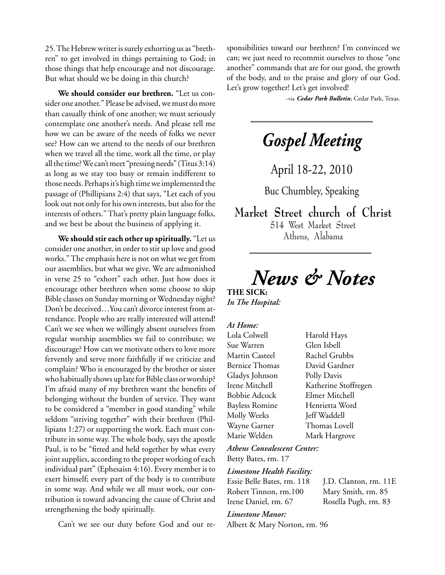25. The Hebrew writer is surely exhorting us as "brethren" to get involved in things pertaining to God; in those things that help encourage and not discourage. But what should we be doing in this church?

**We should consider our brethren.** "Let us consider one another." Please be advised, we must do more than casually think of one another; we must seriously contemplate one another's needs. And please tell me how we can be aware of the needs of folks we never see? How can we attend to the needs of our brethren when we travel all the time, work all the time, or play all the time? We can't meet "pressing needs" (Titus 3:14) as long as we stay too busy or remain indifferent to those needs. Perhaps it's high time we implemented the passage of (Phillipians 2:4) that says, "Let each of you look out not only for his own interests, but also for the interests of others." That's pretty plain language folks, and we best be about the business of applying it.

**We should stir each other up spiritually.** "Let us consider one another, in order to stir up love and good works." The emphasis here is not on what we get from our assemblies, but what we give. We are admonished in verse 25 to "exhort" each other. Just how does it encourage other brethren when some choose to skip Bible classes on Sunday morning or Wednesday night? Don't be deceived…You can't divorce interest from attendance. People who are really interested will attend! Can't we see when we willingly absent ourselves from regular worship assemblies we fail to contribute; we discourage? How can we motivate others to love more fervently and serve more faithfully if we criticize and complain? Who is encouraged by the brother or sister who habitually shows up late for Bible class or worship? I'm afraid many of my brethren want the benefits of belonging without the burden of service. They want to be considered a "member in good standing" while seldom "striving together" with their brethren (Phillipians 1:27) or supporting the work. Each must contribute in some way. The whole body, says the apostle Paul, is to be "fitted and held together by what every joint supplies, according to the proper working of each individual part" (Ephesaisn 4:16). Every member is to exert himself; every part of the body is to contribute in some way. And while we all must work, our contribution is toward advancing the cause of Christ and strengthening the body spiritually.

Can't we see our duty before God and our re-

sponsibilities toward our brethren? I'm convinced we can; we just need to recommit ourselves to those "one another" commands that are for our good, the growth of the body, and to the praise and glory of our God. Let's grow together! Let's get involved!

~via *Cedar Park Bulletin*; Cedar Park, Texas.

*Gospel Meeting*

April 18-22, 2010

Buc Chumbley, Speaking

**Market Street church of Christ** 514 West Market Street Athens, Alabama

*News & Notes*

**THE SICK:** *In The Hospital:*

# *At Home:*

Lola Colwell Harold Hays Sue Warren Glen Isbell Martin Casteel Rachel Grubbs Bernice Thomas David Gardner Gladys Johnson Polly Davis Irene Mitchell Katherine Stoffregen Bobbie Adcock Elmer Mitchell Bayless Romine Henrietta Word Molly Weeks Jeff Waddell Wayne Garner Thomas Lovell Marie Welden Mark Hargrove

*Athens Convalescent Center:* Betty Bates, rm. 17

## *Limestone Health Facility:*

| Essie Belle Bates, rm. 118 |
|----------------------------|
| Robert Tinnon, rm.100      |
| Irene Daniel rm 67         |

J.D. Clanton, rm. 11E. Mary Smith, rm. 85 Rosella Pugh, rm. 83

# *Limestone Manor:*

Albert & Mary Norton, rm. 96